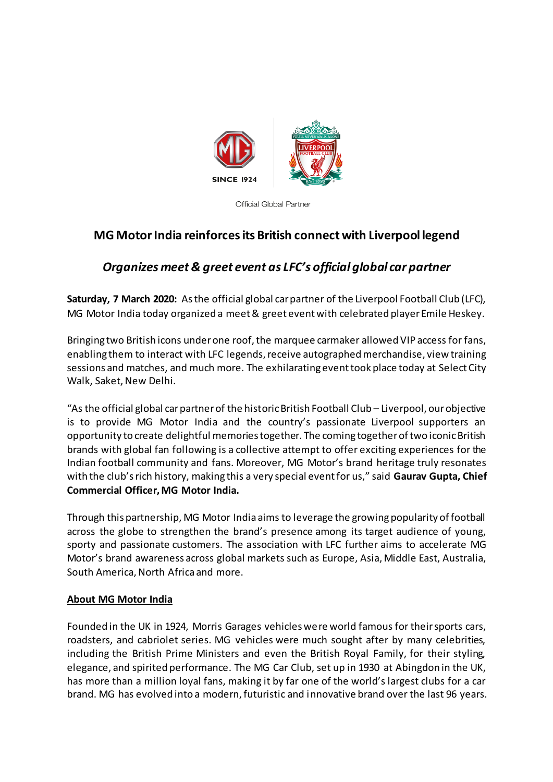

**Official Global Partner** 

## **MG Motor India reinforces its British connect with Liverpool legend**

## *Organizes meet & greet event as LFC's official global car partner*

**Saturday, 7 March 2020:** As the official global car partner of the Liverpool Football Club (LFC), MG Motor India today organized a meet & greet event with celebrated player Emile Heskey.

Bringing two British icons under one roof, the marquee carmaker allowed VIP access for fans, enabling them to interact with LFC legends, receive autographed merchandise, view training sessions and matches, and much more. The exhilarating event took place today at Select City Walk, Saket, New Delhi.

"As the official global car partner of the historic British Football Club – Liverpool, our objective is to provide MG Motor India and the country's passionate Liverpool supporters an opportunity to create delightful memories together. The coming together of two iconic British brands with global fan following is a collective attempt to offer exciting experiences for the Indian football community and fans. Moreover, MG Motor's brand heritage truly resonates with the club's rich history, making this a very special event for us," said **Gaurav Gupta, Chief Commercial Officer, MG Motor India.**

Through this partnership, MG Motor India aims to leverage the growing popularity of football across the globe to strengthen the brand's presence among its target audience of young, sporty and passionate customers. The association with LFC further aims to accelerate MG Motor's brand awareness across global markets such as Europe, Asia, Middle East, Australia, South America, North Africa and more.

## **About MG Motor India**

Founded in the UK in 1924, Morris Garages vehicles were world famous for their sports cars, roadsters, and cabriolet series. MG vehicles were much sought after by many celebrities, including the British Prime Ministers and even the British Royal Family, for their styling, elegance, and spirited performance. The MG Car Club, set up in 1930 at Abingdon in the UK, has more than a million loyal fans, making it by far one of the world's largest clubs for a car brand. MG has evolved into a modern, futuristic and innovative brand over the last 96 years.